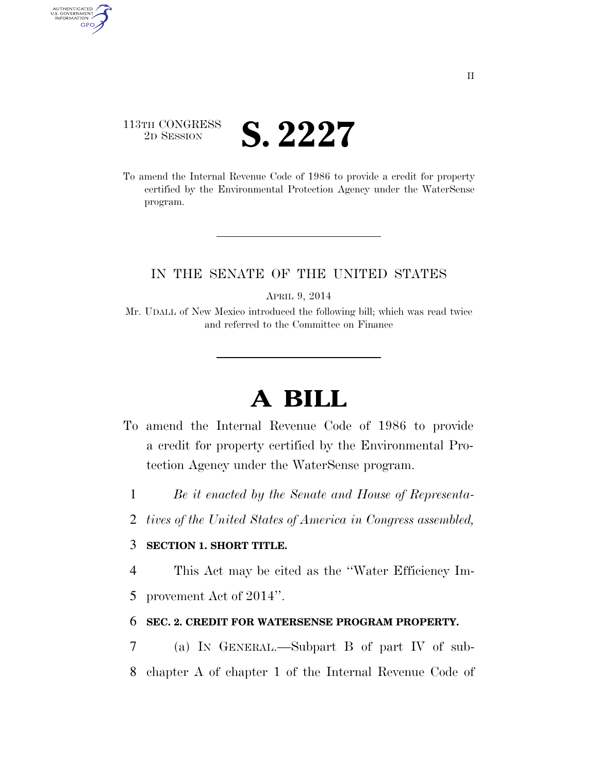## 113TH CONGRESS **2D SESSION S. 2227**

AUTHENTICATED<br>U.S. GOVERNMENT<br>INFORMATION GPO

> To amend the Internal Revenue Code of 1986 to provide a credit for property certified by the Environmental Protection Agency under the WaterSense program.

### IN THE SENATE OF THE UNITED STATES

APRIL 9, 2014

Mr. UDALL of New Mexico introduced the following bill; which was read twice and referred to the Committee on Finance

# **A BILL**

- To amend the Internal Revenue Code of 1986 to provide a credit for property certified by the Environmental Protection Agency under the WaterSense program.
	- 1 *Be it enacted by the Senate and House of Representa-*
	- 2 *tives of the United States of America in Congress assembled,*

#### 3 **SECTION 1. SHORT TITLE.**

4 This Act may be cited as the ''Water Efficiency Im-

5 provement Act of 2014''.

#### 6 **SEC. 2. CREDIT FOR WATERSENSE PROGRAM PROPERTY.**

7 (a) IN GENERAL.—Subpart B of part IV of sub-8 chapter A of chapter 1 of the Internal Revenue Code of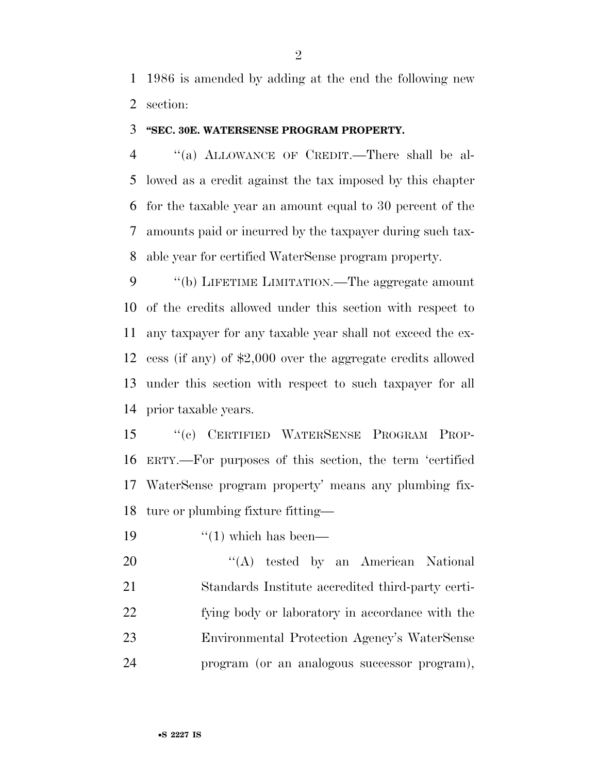1986 is amended by adding at the end the following new section:

#### **''SEC. 30E. WATERSENSE PROGRAM PROPERTY.**

 ''(a) ALLOWANCE OF CREDIT.—There shall be al- lowed as a credit against the tax imposed by this chapter for the taxable year an amount equal to 30 percent of the amounts paid or incurred by the taxpayer during such tax-able year for certified WaterSense program property.

9 "(b) LIFETIME LIMITATION.—The aggregate amount of the credits allowed under this section with respect to any taxpayer for any taxable year shall not exceed the ex- cess (if any) of \$2,000 over the aggregate credits allowed under this section with respect to such taxpayer for all prior taxable years.

 ''(c) CERTIFIED WATERSENSE PROGRAM PROP- ERTY.—For purposes of this section, the term 'certified WaterSense program property' means any plumbing fix-ture or plumbing fixture fitting—

19  $\frac{1}{2}$   $\frac{1}{2}$  which has been—

20 "'(A) tested by an American National Standards Institute accredited third-party certi- fying body or laboratory in accordance with the Environmental Protection Agency's WaterSense program (or an analogous successor program),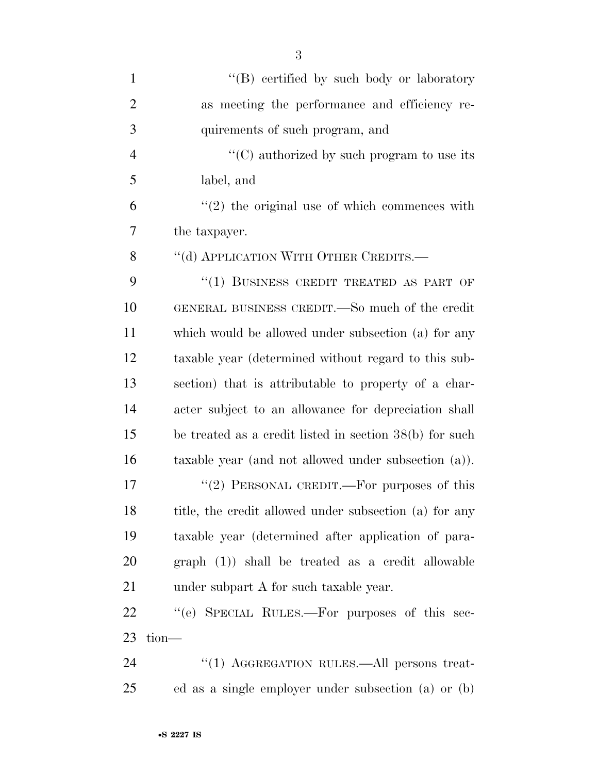| $\mathbf{1}$   | "(B) certified by such body or laboratory               |
|----------------|---------------------------------------------------------|
| $\overline{2}$ | as meeting the performance and efficiency re-           |
| 3              | quirements of such program, and                         |
| $\overline{4}$ | "(C) authorized by such program to use its              |
| 5              | label, and                                              |
| 6              | $\lq(2)$ the original use of which commences with       |
| 7              | the taxpayer.                                           |
| 8              | "(d) APPLICATION WITH OTHER CREDITS.—                   |
| 9              | "(1) BUSINESS CREDIT TREATED AS PART OF                 |
| 10             | GENERAL BUSINESS CREDIT.—So much of the credit          |
| 11             | which would be allowed under subsection (a) for any     |
| 12             | taxable year (determined without regard to this sub-    |
| 13             | section) that is attributable to property of a char-    |
| 14             | acter subject to an allowance for depreciation shall    |
| 15             | be treated as a credit listed in section 38(b) for such |
| 16             | taxable year (and not allowed under subsection $(a)$ ). |
| 17             | "(2) PERSONAL CREDIT.—For purposes of this              |
| 18             | title, the credit allowed under subsection (a) for any  |
| 19             | taxable year (determined after application of para-     |
| 20             | $graph (1)$ shall be treated as a credit allowable      |
| 21             | under subpart A for such taxable year.                  |
| 22             | "(e) SPECIAL RULES.—For purposes of this sec-           |
| 23             | $tion-$                                                 |
| 24             | "(1) AGGREGATION RULES.—All persons treat-              |
| 25             | ed as a single employer under subsection (a) or (b)     |

•**S 2227 IS**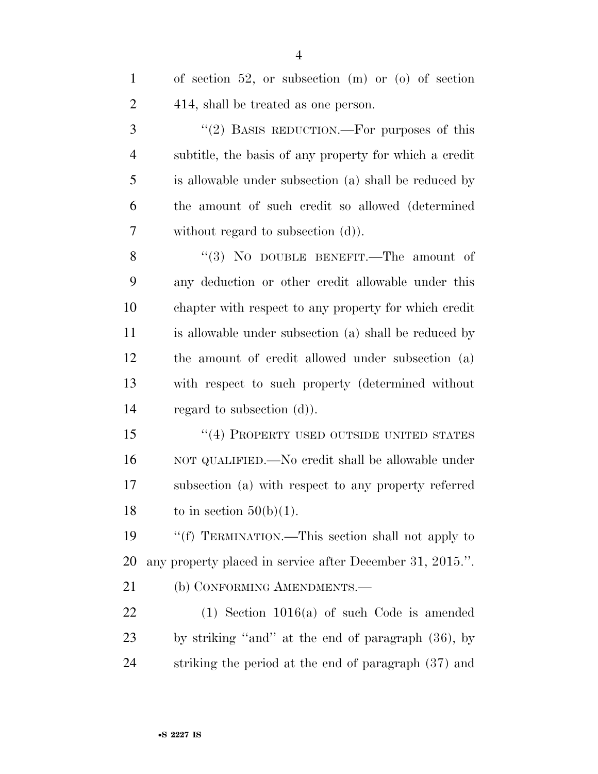| $\mathbf{1}$   | of section 52, or subsection $(m)$ or $(o)$ of section    |
|----------------|-----------------------------------------------------------|
| $\overline{2}$ | 414, shall be treated as one person.                      |
| 3              | "(2) BASIS REDUCTION.—For purposes of this                |
| $\overline{4}$ | subtitle, the basis of any property for which a credit    |
| 5              | is allowable under subsection (a) shall be reduced by     |
| 6              | the amount of such credit so allowed (determined          |
| 7              | without regard to subsection $(d)$ ).                     |
| 8              | "(3) NO DOUBLE BENEFIT.—The amount of                     |
| 9              | any deduction or other credit allowable under this        |
| 10             | chapter with respect to any property for which credit     |
| 11             | is allowable under subsection (a) shall be reduced by     |
| 12             | the amount of credit allowed under subsection (a)         |
| 13             | with respect to such property (determined without         |
| 14             | regard to subsection $(d)$ ).                             |
| 15             | "(4) PROPERTY USED OUTSIDE UNITED STATES                  |
| 16             | NOT QUALIFIED.—No credit shall be allowable under         |
| 17             | subsection (a) with respect to any property referred      |
| 18             | to in section $50(b)(1)$ .                                |
| 19             | "(f) TERMINATION.—This section shall not apply to         |
| 20             | any property placed in service after December 31, 2015.". |
| 21             | (b) CONFORMING AMENDMENTS.-                               |
| 22             | $(1)$ Section 1016(a) of such Code is amended             |
| 23             | by striking "and" at the end of paragraph (36), by        |
| 24             | striking the period at the end of paragraph (37) and      |